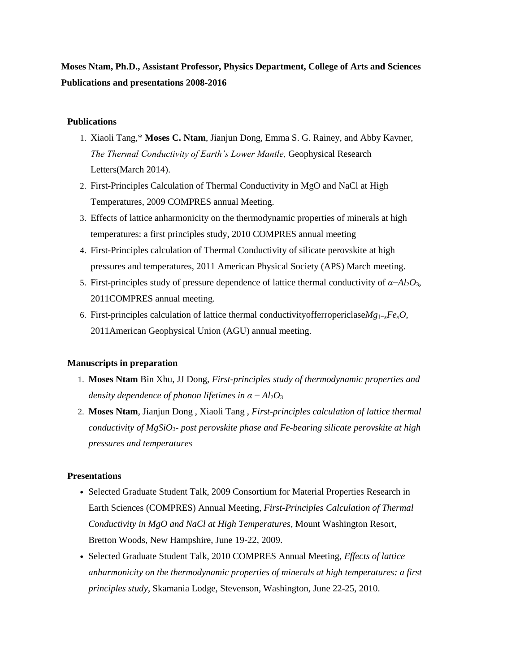**Moses Ntam, Ph.D., Assistant Professor, Physics Department, College of Arts and Sciences Publications and presentations 2008-2016**

## **Publications**

- 1. Xiaoli Tang,\* **Moses C. Ntam**, Jianjun Dong, Emma S. G. Rainey, and Abby Kavner, *The Thermal Conductivity of Earth's Lower Mantle,* Geophysical Research Letters(March 2014).
- 2. First-Principles Calculation of Thermal Conductivity in MgO and NaCl at High Temperatures, 2009 COMPRES annual Meeting.
- 3. Effects of lattice anharmonicity on the thermodynamic properties of minerals at high temperatures: a first principles study, 2010 COMPRES annual meeting
- 4. First-Principles calculation of Thermal Conductivity of silicate perovskite at high pressures and temperatures, 2011 American Physical Society (APS) March meeting.
- 5. First-principles study of pressure dependence of lattice thermal conductivity of  $\alpha$ −*Al*<sub>2</sub>*O*<sub>3</sub>, 2011COMPRES annual meeting.
- 6. First-principles calculation of lattice thermal conductivityofferropericlase*Mg*1−*xFexO*, 2011American Geophysical Union (AGU) annual meeting.

## **Manuscripts in preparation**

- 1. **Moses Ntam** Bin Xhu, JJ Dong, *First-principles study of thermodynamic properties and density dependence of phonon lifetimes in*  $\alpha - Al_2O_3$
- 2. **Moses Ntam**, Jianjun Dong , Xiaoli Tang , *First-principles calculation of lattice thermal conductivity of MgSiO*3*- post perovskite phase and Fe-bearing silicate perovskite at high pressures and temperatures*

## **Presentations**

- Selected Graduate Student Talk, 2009 Consortium for Material Properties Research in Earth Sciences (COMPRES) Annual Meeting, *First-Principles Calculation of Thermal Conductivity in MgO and NaCl at High Temperatures*, Mount Washington Resort, Bretton Woods, New Hampshire, June 19-22, 2009.
- Selected Graduate Student Talk, 2010 COMPRES Annual Meeting, *Effects of lattice anharmonicity on the thermodynamic properties of minerals at high temperatures: a first principles study*, Skamania Lodge, Stevenson, Washington, June 22-25, 2010.